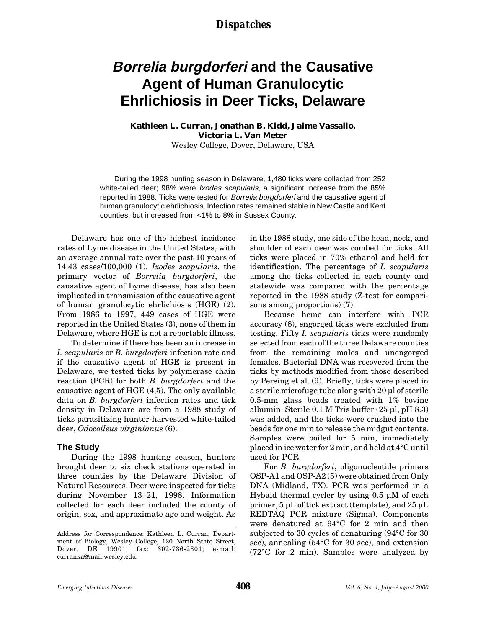### *Dispatches*

# **Borrelia burgdorferi and the Causative Agent of Human Granulocytic Ehrlichiosis in Deer Ticks, Delaware**

### **Kathleen L. Curran, Jonathan B. Kidd, Jaime Vassallo, Victoria L. Van Meter**

Wesley College, Dover, Delaware, USA

During the 1998 hunting season in Delaware, 1,480 ticks were collected from 252 white-tailed deer; 98% were *Ixodes scapularis*, a significant increase from the 85% reported in 1988. Ticks were tested for *Borrelia burgdorferi* and the causative agent of human granulocytic ehrlichiosis. Infection rates remained stable in New Castle and Kent counties, but increased from <1% to 8% in Sussex County.

Delaware has one of the highest incidence rates of Lyme disease in the United States, with an average annual rate over the past 10 years of 14.43 cases/100,000 (1). *Ixodes scapularis*, the primary vector of *Borrelia burgdorferi*, the causative agent of Lyme disease, has also been implicated in transmission of the causative agent of human granulocytic ehrlichiosis (HGE) (2). From 1986 to 1997, 449 cases of HGE were reported in the United States (3), none of them in Delaware, where HGE is not a reportable illness.

To determine if there has been an increase in *I. scapularis* or *B. burgdorferi* infection rate and if the causative agent of HGE is present in Delaware, we tested ticks by polymerase chain reaction (PCR) for both *B. burgdorferi* and the causative agent of HGE (4,5). The only available data on *B. burgdorferi* infection rates and tick density in Delaware are from a 1988 study of ticks parasitizing hunter-harvested white-tailed deer, *Odocoileus virginianus* (6).

#### **The Study**

During the 1998 hunting season, hunters brought deer to six check stations operated in three counties by the Delaware Division of Natural Resources. Deer were inspected for ticks during November 13–21, 1998. Information collected for each deer included the county of origin, sex, and approximate age and weight. As

in the 1988 study, one side of the head, neck, and shoulder of each deer was combed for ticks. All ticks were placed in 70% ethanol and held for identification. The percentage of *I. scapularis* among the ticks collected in each county and statewide was compared with the percentage reported in the 1988 study (Z-test for comparisons among proportions) (7).

Because heme can interfere with PCR accuracy (8), engorged ticks were excluded from testing. Fifty *I. scapularis* ticks were randomly selected from each of the three Delaware counties from the remaining males and unengorged females. Bacterial DNA was recovered from the ticks by methods modified from those described by Persing et al. (9). Briefly, ticks were placed in a sterile microfuge tube along with 20 µl of sterile 0.5-mm glass beads treated with 1% bovine albumin. Sterile 0.1 M Tris buffer (25 µl, pH 8.3) was added, and the ticks were crushed into the beads for one min to release the midgut contents. Samples were boiled for 5 min, immediately placed in ice water for 2 min, and held at 4°C until used for PCR.

For *B. burgdorferi*, oligonucleotide primers OSP-A1 and OSP-A2 (5) were obtained from Only DNA (Midland, TX). PCR was performed in a Hybaid thermal cycler by using 0.5 µM of each primer, 5 µL of tick extract (template), and 25 µL REDTAQ PCR mixture (Sigma). Components were denatured at 94°C for 2 min and then subjected to 30 cycles of denaturing (94°C for 30 sec), annealing (54°C for 30 sec), and extension (72°C for 2 min). Samples were analyzed by

Address for Correspondence: Kathleen L. Curran, Department of Biology, Wesley College, 120 North State Street, Dover, DE 19901; fax: 302-736-2301; e-mail: curranka@mail.wesley.edu.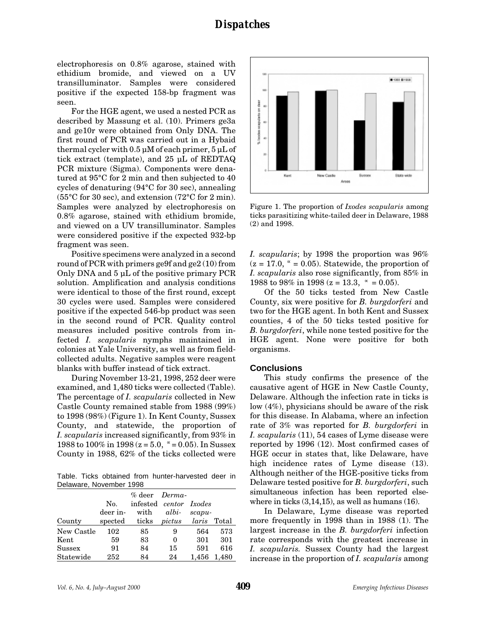electrophoresis on 0.8% agarose, stained with ethidium bromide, and viewed on a UV transilluminator. Samples were considered positive if the expected 158-bp fragment was seen.

For the HGE agent, we used a nested PCR as described by Massung et al. (10). Primers ge3a and ge10r were obtained from Only DNA. The first round of PCR was carried out in a Hybaid thermal cycler with 0.5 µM of each primer, 5 µL of tick extract (template), and 25 µL of REDTAQ PCR mixture (Sigma). Components were denatured at 95°C for 2 min and then subjected to 40 cycles of denaturing (94°C for 30 sec), annealing (55°C for 30 sec), and extension (72°C for 2 min). Samples were analyzed by electrophoresis on 0.8% agarose, stained with ethidium bromide, and viewed on a UV transilluminator. Samples were considered positive if the expected 932-bp fragment was seen.

Positive specimens were analyzed in a second round of PCR with primers ge9f and ge2 (10) from Only DNA and 5 µL of the positive primary PCR solution. Amplification and analysis conditions were identical to those of the first round, except 30 cycles were used. Samples were considered positive if the expected 546-bp product was seen in the second round of PCR. Quality control measures included positive controls from infected *I. scapularis* nymphs maintained in colonies at Yale University, as well as from fieldcollected adults. Negative samples were reagent blanks with buffer instead of tick extract.

During November 13-21, 1998, 252 deer were examined, and 1,480 ticks were collected (Table). The percentage of *I. scapularis* collected in New Castle County remained stable from 1988 (99%) to 1998 (98%) (Figure 1). In Kent County, Sussex County, and statewide, the proportion of *I. scapularis* increased significantly, from 93% in 1988 to 100% in 1998 ( $z = 5.0$ ,  $\approx = 0.05$ ). In Sussex County in 1988, 62% of the ticks collected were

Table. Ticks obtained from hunter-harvested deer in Delaware, November 1998

|            |          | % deer Derma-                           |       |           |       |
|------------|----------|-----------------------------------------|-------|-----------|-------|
|            | No.      | infested centor Ixodes                  |       |           |       |
|            | deer in- | with                                    | albi- | $scapu$ - |       |
| County     |          | spected ticks <i>pictus laris</i> Total |       |           |       |
| New Castle | 102      | 85                                      | 9     | 564       | 573   |
| Kent       | 59       | 83                                      | 0     | 301       | 301   |
| Sussex     | 91       | 84                                      | 15    | 591       | 616   |
| Statewide  | 252      | 84                                      | 24    | 1,456     | 1,480 |



Figure 1. The proportion of *Ixodes scapularis* among ticks parasitizing white-tailed deer in Delaware, 1988 (2) and 1998.

*I. scapularis*; by 1998 the proportion was 96%  $(z = 17.0, \gamma = 0.05)$ . Statewide, the proportion of *I. scapularis* also rose significantly, from 85% in 1988 to 98% in 1998 ( $z = 13.3$ ,  $\approx = 0.05$ ).

Of the 50 ticks tested from New Castle County, six were positive for *B. burgdorferi* and two for the HGE agent. In both Kent and Sussex counties, 4 of the 50 ticks tested positive for *B. burgdorferi*, while none tested positive for the HGE agent. None were positive for both organisms.

#### **Conclusions**

This study confirms the presence of the causative agent of HGE in New Castle County, Delaware. Although the infection rate in ticks is low (4%), physicians should be aware of the risk for this disease. In Alabama, where an infection rate of 3% was reported for *B. burgdorferi* in *I. scapularis* (11), 54 cases of Lyme disease were reported by 1996 (12). Most confirmed cases of HGE occur in states that, like Delaware, have high incidence rates of Lyme disease  $(13)$ . Although neither of the HGE-positive ticks from Delaware tested positive for *B. burgdorferi*, such simultaneous infection has been reported elsewhere in ticks  $(3,14,15)$ , as well as humans  $(16)$ .

In Delaware, Lyme disease was reported more frequently in 1998 than in 1988 (1). The largest increase in the *B. burgdorferi* infection rate corresponds with the greatest increase in *I. scapularis.* Sussex County had the largest increase in the proportion of *I. scapularis* among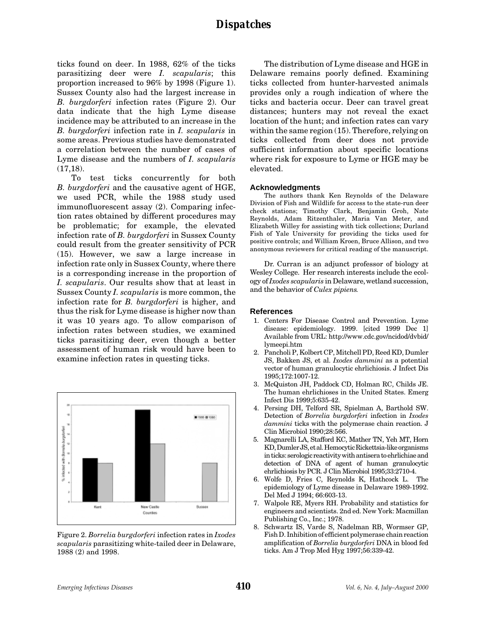## *Dispatches*

ticks found on deer. In 1988, 62% of the ticks parasitizing deer were *I. scapularis*; this proportion increased to 96% by 1998 (Figure 1). Sussex County also had the largest increase in *B. burgdorferi* infection rates (Figure 2). Our data indicate that the high Lyme disease incidence may be attributed to an increase in the *B. burgdorferi* infection rate in *I. scapularis* in some areas. Previous studies have demonstrated a correlation between the number of cases of Lyme disease and the numbers of *I. scapularis*  $(17,18)$ .

To test ticks concurrently for both *B. burgdorferi* and the causative agent of HGE, we used PCR, while the 1988 study used immunofluorescent assay (2). Comparing infection rates obtained by different procedures may be problematic; for example, the elevated infection rate of *B. burgdorferi* in Sussex County could result from the greater sensitivity of PCR (15). However, we saw a large increase in infection rate only in Sussex County, where there is a corresponding increase in the proportion of *I. scapularis*. Our results show that at least in Sussex County *I. scapularis* is more common, the infection rate for *B. burgdorferi* is higher, and thus the risk for Lyme disease is higher now than it was 10 years ago. To allow comparison of infection rates between studies, we examined ticks parasitizing deer, even though a better assessment of human risk would have been to examine infection rates in questing ticks.



Figure 2. *Borrelia burgdorferi* infection rates in *Ixodes scapularis* parasitizing white-tailed deer in Delaware, 1988 (2) and 1998.

The distribution of Lyme disease and HGE in Delaware remains poorly defined. Examining ticks collected from hunter-harvested animals provides only a rough indication of where the ticks and bacteria occur. Deer can travel great distances; hunters may not reveal the exact location of the hunt; and infection rates can vary within the same region (15). Therefore, relying on ticks collected from deer does not provide sufficient information about specific locations where risk for exposure to Lyme or HGE may be elevated.

#### **Acknowledgments**

The authors thank Ken Reynolds of the Delaware Division of Fish and Wildlife for access to the state-run deer check stations; Timothy Clark, Benjamin Groh, Nate Reynolds, Adam Ritzenthaler, Maria Van Meter, and Elizabeth Willey for assisting with tick collections; Durland Fish of Yale University for providing the ticks used for positive controls; and William Kroen, Bruce Allison, and two anonymous reviewers for critical reading of the manuscript.

Dr. Curran is an adjunct professor of biology at Wesley College. Her research interests include the ecology of *Ixodes scapularis* in Delaware, wetland succession, and the behavior of *Culex pipiens.*

#### **References**

- 1. Centers For Disease Control and Prevention. Lyme disease: epidemiology. 1999. [cited 1999 Dec 1] Available from URL: http://www.cdc.gov/ncidod/dvbid/ lymeepi.htm
- 2. Pancholi P, Kolbert CP, Mitchell PD, Reed KD, Dumler JS, Bakken JS, et al. *Ixodes dammini* as a potential vector of human granulocytic ehrlichiosis. J Infect Dis 1995;172:1007-12.
- 3. McQuiston JH, Paddock CD, Holman RC, Childs JE. The human ehrlichioses in the United States. Emerg Infect Dis 1999;5:635-42.
- 4. Persing DH, Telford SR, Spielman A, Barthold SW. Detection of *Borrelia burgdorferi* infection in *Ixodes dammini* ticks with the polymerase chain reaction. J Clin Microbiol 1990;28:566.
- 5. Magnarelli LA, Stafford KC, Mather TN, Yeh MT, Horn KD, Dumler JS, et al. Hemocytic Rickettsia-like organisms in ticks: serologic reactivity with antisera to ehrlichiae and detection of DNA of agent of human granulocytic ehrlichiosis by PCR. J Clin Microbiol 1995;33:2710-4.
- 6. Wolfe D, Fries C, Reynolds K, Hathcock L. The epidemiology of Lyme disease in Delaware 1989-1992. Del Med J 1994; 66:603-13.
- 7. Walpole RE, Myers RH. Probability and statistics for engineers and scientists. 2nd ed. New York: Macmillan Publishing Co., Inc.; 1978.
- 8. Schwartz IS, Varde S, Nadelman RB, Wormser GP, Fish D. Inhibition of efficient polymerase chain reaction amplification of *Borrelia burgdorferi* DNA in blood fed ticks. Am J Trop Med Hyg 1997;56:339-42.